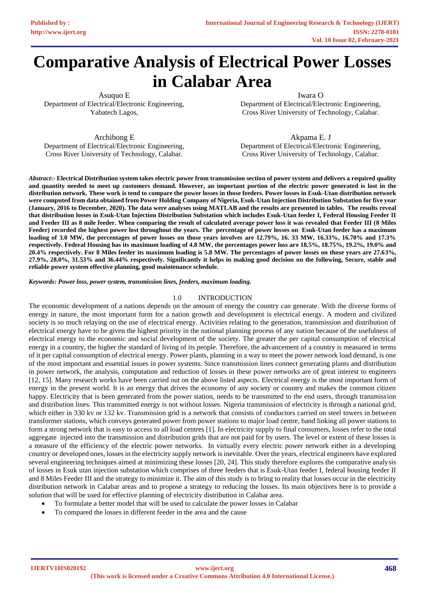# **Comparative Analysis of Electrical Power Losses in Calabar Area**

Asuquo E Department of Electrical/Electronic Engineering, Yabatech Lagos,

Iwara O

Department of Electrical/Electronic Engineering, Cross River University of Technology, Calabar.

Archibong E Department of Electrical/Electronic Engineering, Cross River University of Technology, Calabar.

Akpama E. J Department of Electrical/Electronic Engineering, Cross River University of Technology, Calabar.

*Abstract***:- Electrical Distribution system takes electric power from transmission section of power system and delivers a required quality and quantity needed to meet up customers demand. However, an important portion of the electric power generated is lost in the distribution network. These work is tend to compare the power losses in those feeders. Power losses in Esuk-Utan distribution network were computed from data obtained from Power Holding Company of Nigeria, Esuk-Utan Injection Distribution Substation for five year (January, 2016 to December, 2020). The data were analyses using MATLAB and the results are presented in tables. The results reveal that distribution losses in Esuk-Utan Injection Distribution Substation which includes Esuk-Utan feeder I, Federal Housing Feeder II and Feeder III as 8 mile feeder. When comparing the result of calculated average power loss it was revealed that Feeder III (8 Miles Feeder) recorded the highest power lost throughout the years. The percentage of power losses on Esuk-Utan feeder has a maximum loading of 3.0 MW, the percentages of power losses on those years involves are 12.79%, 16. 33 MW, 16.33%, 16.70% and 17.3% respectively. Federal Housing has its maximum loading of 4.8 MW, the percentages power loss are 18.5%, 18.75%, 19.2%, 19.0% and 20.4% respectively. For 8 Miles feeder its maximum loading is 5.8 MW. The percentages of power losses on those years are 27.63%, 27.9%, 28.0%, 31.53% and 36.44% respectively. Significantly it helps in making good decision on the following, Secure, stable and reliable power system effective planning***,* **good maintenance schedule.**

*Keywords: Power loss, power system, transmission lines, feeders, maximum loading.*

## 1.0 INTRODUCTION

The economic development of a nations depends on the amount of energy the country can generate. With the diverse forms of energy in nature, the most important form for a nation growth and development is electrical energy. A modern and civilized society is so much relaying on the use of electrical energy. Activities relating to the generation, transmission and distribution of electrical energy have to be given the highest priority in the national planning process of any nation because of the usefulness of electrical energy to the economic and social development of the society. The greater the per capital consumption of electrical energy in a country, the higher the standard of living of its people. Therefore, the advancement of a country is measured in terms of it per capital consumption of electrical energy. Power plants, planning in a way to meet the power network load demand, is one of the most important and essential issues in power systems. Since transmission lines connect generating plants and distribution in power network, the analysis, computation and reduction of losses in these power networks are of great interest to engineers [12, 15]. Many research works have been carried out on the above listed aspects. Electrical energy is the most important form of energy in the present world. It is an energy that drives the economy of any society or country and makes the common citizen happy. Electricity that is been generated from the power station, needs to be transmitted to the end users, through transmission and distribution lines. This transmitted energy is not without losses. Nigeria transmission of electricity is through a national grid, which either in 330 kv or 132 kv. Transmission grid is a network that consists of conductors carried on steel towers in between transformer stations, which conveys generated power from power stations to major load centre, band linking all power stations to form a strong network that is easy to access to all load centres [1]. In electricity supply to final consumers, losses refer to the total aggregate injected into the transmission and distribution grids that are not paid for by users. The level or extent of these losses is a measure of the efficiency of the electric power networks. In virtually every electric power network either in a developing country or developed ones, losses in the electricity supply network is inevitable. Over the years, electrical engineers have explored several engineering techniques aimed at minimizing these losses [20, 24]. This study therefore explores the comparative analysis of losses in Esuk utan injection substation which comprises of three feeders that is Esuk-Utan feeder I, federal housing feeder II and 8 Miles Feeder III and the strategy to minimize it. The aim of this study is to bring to reality that losses occur in the electricity distribution network in Calabar areas and to propose a strategy to reducing the losses. Its main objectives here is to provide a solution that will be used for effective planning of electricity distribution in Calabar area.

- To formulate a better model that will be used to calculate the power losses in Calabar
- To compared the losses in different feeder in the area and the cause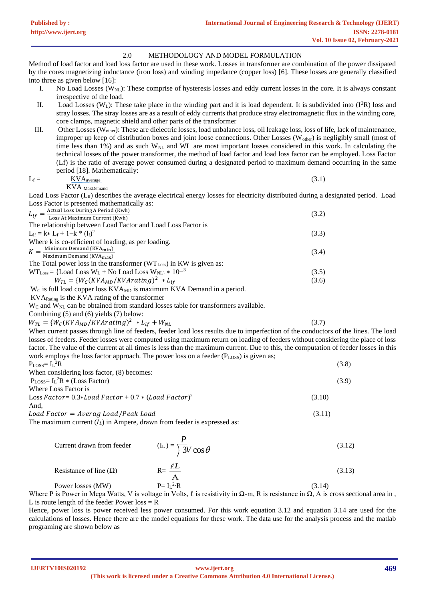Method of load factor and load loss factor are used in these work. Losses in transformer are combination of the power dissipated by the cores magnetizing inductance (iron loss) and winding impedance (copper loss) [6]. These losses are generally classified into three as given below [16]:

- I. No Load Losses  $(W_{NL})$ : These comprise of hysteresis losses and eddy current losses in the core. It is always constant irrespective of the load.
- II. Load Losses (W<sub>L</sub>): These take place in the winding part and it is load dependent. It is subdivided into  $(I^2R)$  loss and stray losses. The stray losses are as a result of eddy currents that produce stray electromagnetic flux in the winding core, core clamps, magnetic shield and other parts of the transformer
- III. Other Losses  $(W_{other})$ : These are dielectric losses, load unbalance loss, oil leakage loss, loss of life, lack of maintenance, improper up keep of distribution boxes and joint loose connections. Other Losses ( $W_{other}$ ) is negligibly small (most of time less than 1%) and as such  $W_{NL}$  and WL are most important losses considered in this work. In calculating the technical losses of the power transformer, the method of load factor and load loss factor can be employed. Loss Factor (Lf) is the ratio of average power consumed during a designated period to maximum demand occurring in the same period [18]. Mathematically:

$$
L_f = \frac{KVA_{\text{average}}}{KVA_{\text{MaxDemand}}} \tag{3.1}
$$

Load Loss Factor (L<sub>If</sub>) describes the average electrical energy losses for electricity distributed during a designated period. Load Loss Factor is presented mathematically as:

| $L_{lf} = \frac{\text{Actual Loss During A Period (Kwh)}}{\text{Loss At Maximum Current (Kwh)}}$ | (3.2) |
|--------------------------------------------------------------------------------------------------|-------|
|                                                                                                  |       |
| The relationship between Load Factor and Load Loss Factor is                                     |       |
| $L_{\text{lf}} = k * L_f + 1 - k * (l_f)^2$                                                      | (3.3) |
| Where k is co-efficient of loading, as per loading.                                              |       |
| $K = \frac{\text{Minimum Demand (KVA}_{\text{min}})}{n}$                                         | (3.4) |
| Maximum Demand (KVA <sub>max</sub> )                                                             |       |
| The Total power loss in the transformer ( $WT_{Loss}$ ) in KW is given as:                       |       |
| $WT_{Loss} = {Load Loss W_L + No Load Loss W_{NL} * 10^{-3}}$                                    | (3.5) |
| $W_{TL} = \{W_C(KVA_{MD}/KVArating)^2 * L_{LF}\}$                                                | (3.6) |
| $W_C$ is full load copper loss $KVA_{MD}$ is maximum KVA Demand in a period.                     |       |
| $VVA$ is the $VVA$ noting of the transformed                                                     |       |

KVARating is the KVA rating of the transformer

 $W_C$  and  $W_{NL}$  can be obtained from standard losses table for transformers available.

Combining (5) and (6) yields (7) below:

 $W_{TL} = \{W_C(KVA_{MD}/KVArating)^2 * L_{lf} + W_{NL}$  (3.7)

When current passes through line of feeders, feeder load loss results due to imperfection of the conductors of the lines. The load losses of feeders. Feeder losses were computed using maximum return on loading of feeders without considering the place of loss factor. The value of the current at all times is less than the maximum current. Due to this, the computation of feeder losses in this work employs the loss factor approach. The power loss on a feeder  $(P_{LOSS})$  is given as;  $P_{LQSS} = L^2 R$ 

| $P_{LOS} = I_1^2 R$                                                  | (3.8)  |
|----------------------------------------------------------------------|--------|
| When considering loss factor, (8) becomes:                           |        |
| $P_{LOS} = I_L^2 R * (Loss Factor)$                                  | (3.9)  |
| Where Loss Factor is                                                 |        |
| Loss Factor= $0.3*$ Load Factor + 0.7 $*($ Load Factor) <sup>2</sup> | (3.10) |
| And.                                                                 |        |

 $Load Factor = Average Load/Peak Load$  (3.11)

The maximum current  $(I_L)$  in Ampere, drawn from feeder is expressed as:

Current drawn from feeder

$$
(\mathbf{I}_{\mathcal{L}}) = \frac{P}{\int 3V \cos \theta} \tag{3.12}
$$

Resistance of line  $(\Omega)$ 

$$
Power losses (MW) \t\t\t P = IL2·R \t\t\t(3.14)
$$

*L*

Where P is Power in Mega Watts, V is voltage in Volts,  $\ell$  is resistivity in  $\Omega$ -m, R is resistance in  $\Omega$ , A is cross sectional area in, L is route length of the feeder Power  $loss = R$ 

Hence, power loss is power received less power consumed. For this work equation 3.12 and equation 3.14 are used for the calculations of losses. Hence there are the model equations for these work. The data use for the analysis process and the matlab programing are shown below as

(3.13)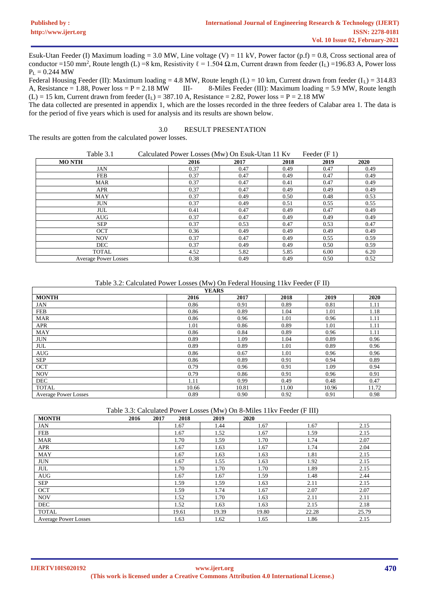Esuk-Utan Feeder (I) Maximum loading = 3.0 MW, Line voltage (V) = 11 kV, Power factor (p.f) = 0.8, Cross sectional area of conductor =150 mm<sup>2</sup>, Route length (L) =8 km, Resistivity  $\ell = 1.504 \Omega$ .m, Current drawn from feeder (I<sub>L</sub>) =196.83 A, Power loss  $P_L = 0.244$  MW

Federal Housing Feeder (II): Maximum loading = 4.8 MW, Route length (L) = 10 km, Current drawn from feeder ( $I_L$ ) = 314.83 A, Resistance = 1.88, Power loss =  $P = 2.18$  MW III- 8-Miles Feeder (III): Maximum loading = 5.9 MW, Route length  $(L) = 15$  km, Current drawn from feeder  $(I_L) = 387.10$  A, Resistance = 2.82, Power loss = P = 2.18 MW

The data collected are presented in appendix 1, which are the losses recorded in the three feeders of Calabar area 1. The data is for the period of five years which is used for analysis and its results are shown below.

# 3.0 RESULT PRESENTATION

The results are gotten from the calculated power losses.

| Table 3.1 | Calculated Power Losses (Mw) On Esuk-Utan 11 Kv |  |  |  | Feeder $(F 1)$ |
|-----------|-------------------------------------------------|--|--|--|----------------|
|-----------|-------------------------------------------------|--|--|--|----------------|

| <b>MO NTH</b>               | 2016 | 2017 | 2018 | 2019 | 2020 |
|-----------------------------|------|------|------|------|------|
| JAN                         | 0.37 | 0.47 | 0.49 | 0.47 | 0.49 |
| FEB                         | 0.37 | 0.47 | 0.49 | 0.47 | 0.49 |
| <b>MAR</b>                  | 0.37 | 0.47 | 0.41 | 0.47 | 0.49 |
| <b>APR</b>                  | 0.37 | 0.47 | 0.49 | 0.49 | 0.49 |
| MAY                         | 0.37 | 0.49 | 0.50 | 0.48 | 0.53 |
| <b>JUN</b>                  | 0.37 | 0.49 | 0.51 | 0.55 | 0.55 |
| JUL                         | 0.41 | 0.47 | 0.49 | 0.47 | 0.49 |
| AUG                         | 0.37 | 0.47 | 0.49 | 0.49 | 0.49 |
| <b>SEP</b>                  | 0.37 | 0.53 | 0.47 | 0.53 | 0.47 |
| <b>OCT</b>                  | 0.36 | 0.49 | 0.49 | 0.49 | 0.49 |
| <b>NOV</b>                  | 0.37 | 0.47 | 0.49 | 0.55 | 0.59 |
| <b>DEC</b>                  | 0.37 | 0.49 | 0.49 | 0.50 | 0.59 |
| <b>TOTAL</b>                | 4.52 | 5.82 | 5.85 | 6.00 | 6.20 |
| <b>Average Power Losses</b> | 0.38 | 0.49 | 0.49 | 0.50 | 0.52 |

Table 3.2: Calculated Power Losses (Mw) On Federal Housing 11kv Feeder (F II)

| <b>YEARS</b>                |       |       |       |       |       |  |
|-----------------------------|-------|-------|-------|-------|-------|--|
| <b>MONTH</b>                | 2016  | 2017  | 2018  | 2019  | 2020  |  |
| JAN                         | 0.86  | 0.91  | 0.89  | 0.81  | 1.11  |  |
| FEB                         | 0.86  | 0.89  | 1.04  | 1.01  | 1.18  |  |
| <b>MAR</b>                  | 0.86  | 0.96  | 1.01  | 0.96  | 1.11  |  |
| APR                         | 1.01  | 0.86  | 0.89  | 1.01  | 1.11  |  |
| <b>MAY</b>                  | 0.86  | 0.84  | 0.89  | 0.96  | 1.11  |  |
| <b>JUN</b>                  | 0.89  | 1.09  | 1.04  | 0.89  | 0.96  |  |
| JUL                         | 0.89  | 0.89  | 1.01  | 0.89  | 0.96  |  |
| <b>AUG</b>                  | 0.86  | 0.67  | 1.01  | 0.96  | 0.96  |  |
| <b>SEP</b>                  | 0.86  | 0.89  | 0.91  | 0.94  | 0.89  |  |
| OCT                         | 0.79  | 0.96  | 0.91  | 1.09  | 0.94  |  |
| <b>NOV</b>                  | 0.79  | 0.86  | 0.91  | 0.96  | 0.91  |  |
| <b>DEC</b>                  | 1.11  | 0.99  | 0.49  | 0.48  | 0.47  |  |
| <b>TOTAL</b>                | 10.66 | 10.81 | 11.00 | 10.96 | 11.72 |  |
| <b>Average Power Losses</b> | 0.89  | 0.90  | 0.92  | 0.91  | 0.98  |  |

#### Table 3.3: Calculated Power Losses (Mw) On 8-Miles 11kv Feeder (F III)

| <b>MONTH</b><br>2016        | 2018<br>2017 | 2019  | 2020  |       |       |
|-----------------------------|--------------|-------|-------|-------|-------|
| <b>JAN</b>                  | 1.67         | 1.44  | 1.67  | 1.67  | 2.15  |
| FEB                         | 1.67         | 1.52  | 1.67  | 1.59  | 2.15  |
| <b>MAR</b>                  | 1.70         | 1.59  | 1.70  | 1.74  | 2.07  |
| <b>APR</b>                  | 1.67         | 1.63  | 1.67  | 1.74  | 2.04  |
| <b>MAY</b>                  | 1.67         | 1.63  | 1.63  | 1.81  | 2.15  |
| <b>JUN</b>                  | 1.67         | 1.55  | 1.63  | 1.92  | 2.15  |
| JUL                         | 1.70         | 1.70  | 1.70  | 1.89  | 2.15  |
| <b>AUG</b>                  | 1.67         | 1.67  | 1.59  | 1.48  | 2.44  |
| <b>SEP</b>                  | 1.59         | 1.59  | 1.63  | 2.11  | 2.15  |
| <b>OCT</b>                  | 1.59         | 1.74  | 1.67  | 2.07  | 2.07  |
| <b>NOV</b>                  | 1.52         | 1.70  | 1.63  | 2.11  | 2.11  |
| <b>DEC</b>                  | 1.52         | 1.63  | 1.63  | 2.15  | 2.18  |
| <b>TOTAL</b>                | 19.61        | 19.39 | 19.80 | 22.28 | 25.79 |
| <b>Average Power Losses</b> | 1.63         | 1.62  | 1.65  | 1.86  | 2.15  |

**IJERTV10IS020192 (This work is licensed under a Creative Commons Attribution 4.0 International License.) <www.ijert.org>**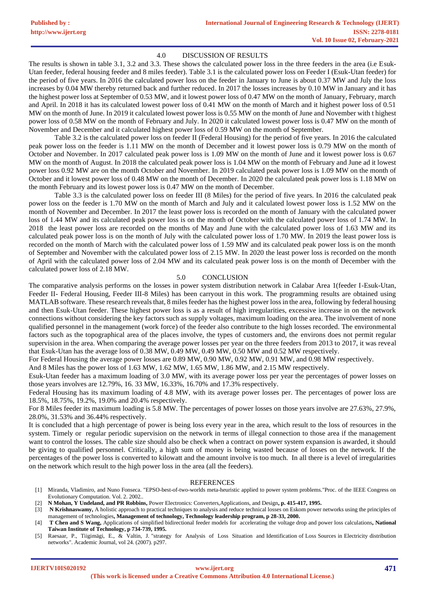# 4.0 DISCUSSION OF RESULTS

The results is shown in table 3.1, 3.2 and 3.3. These shows the calculated power loss in the three feeders in the area (i.e Esuk-Utan feeder, federal housing feeder and 8 miles feeder). Table 3.1 is the calculated power loss on Feeder I (Esuk-Utan feeder) for the period of five years. In 2016 the calculated power loss on the feeder in January to June is about 0.37 MW and July the loss increases by 0.04 MW thereby returned back and further reduced. In 2017 the losses increases by 0.10 MW in January and it has the highest power loss at September of 0.53 MW, and it lowest power loss of 0.47 MW on the month of January, February, march and April. In 2018 it has its calculated lowest power loss of 0.41 MW on the month of March and it highest power loss of 0.51 MW on the month of June. In 2019 it calculated lowest power loss is 0.55 MW on the month of June and November with t highest power loss of 0.58 MW on the month of February and July. In 2020 it calculated lowest power loss is 0.47 MW on the month of November and December and it calculated highest power loss of 0.59 MW on the month of September.

Table 3.2 is the calculated power loss on feeder II (Federal Housing) for the period of five years. In 2016 the calculated peak power loss on the feeder is 1.11 MW on the month of December and it lowest power loss is 0.79 MW on the month of October and November. In 2017 calculated peak power loss is 1.09 MW on the month of June and it lowest power loss is 0.67 MW on the month of August. In 2018 the calculated peak power loss is 1.04 MW on the month of February and June ad it lowest power loss 0.92 MW are on the month October and November. In 2019 calculated peak power loss is 1.09 MW on the month of October and it lowest power loss of 0.48 MW on the month of December. In 2020 the calculated peak power loss is 1.18 MW on the month February and its lowest power loss is 0.47 MW on the month of December.

Table 3.3 is the calculated power loss on feeder III (8 Miles) for the period of five years. In 2016 the calculated peak power loss on the feeder is 1.70 MW on the month of March and July and it calculated lowest power loss is 1.52 MW on the month of November and December. In 2017 the least power loss is recorded on the month of January with the calculated power loss of 1.44 MW and its calculated peak power loss is on the month of October with the calculated power loss of 1.74 MW. In 2018 the least power loss are recorded on the months of May and June with the calculated power loss of 1.63 MW and its calculated peak power loss is on the month of July with the calculated power loss of 1.70 MW. In 2019 the least power loss is recorded on the month of March with the calculated power loss of 1.59 MW and its calculated peak power loss is on the month of September and November with the calculated power loss of 2.15 MW. In 2020 the least power loss is recorded on the month of April with the calculated power loss of 2.04 MW and its calculated peak power loss is on the month of December with the calculated power loss of 2.18 MW.

## 5.0 CONCLUSION

The comparative analysis performs on the losses in power system distribution network in Calabar Area 1(feeder I-Esuk-Utan, Feeder II- Federal Housing, Feeder III-8 Miles) has been carryout in this work. The programming results are obtained using MATLAB software. These research reveals that, 8 miles feeder has the highest power loss in the area, following by federal housing and then Esuk-Utan feeder. These highest power loss is as a result of high irregularities, excessive increase in on the network connections without considering the key factors such as supply voltages, maximum loading on the area. The involvement of none qualified personnel in the management (work force) of the feeder also contribute to the high losses recorded. The environmental factors such as the topographical area of the places involve, the types of customers and, the environs does not permit regular supervision in the area. When comparing the average power losses per year on the three feeders from 2013 to 2017, it was reveal that Esuk-Utan has the average loss of 0.38 MW, 0.49 MW, 0.49 MW, 0.50 MW and 0.52 MW respectively.

For Federal Housing the average power losses are 0.89 MW, 0.90 MW, 0.92 MW, 0.91 MW, and 0.98 MW respectively.

And 8 Miles has the power loss of 1.63 MW, 1.62 MW, 1.65 MW, 1.86 MW, and 2.15 MW respectively.

Esuk-Utan feeder has a maximum loading of 3.0 MW, with its average power loss per year the percentages of power losses on those years involves are 12.79%, 16. 33 MW, 16.33%, 16.70% and 17.3% respectively.

Federal Housing has its maximum loading of 4.8 MW, with its average power losses per. The percentages of power loss are 18.5%, 18.75%, 19.2%, 19.0% and 20.4% respectively.

For 8 Miles feeder its maximum loading is 5.8 MW. The percentages of power losses on those years involve are 27.63%, 27.9%, 28.0%, 31.53% and 36.44% respectively.

It is concluded that a high percentage of power is being loss every year in the area, which result to the loss of resources in the system. Timely or regular periodic supervision on the network in terms of illegal connection to those area if the management want to control the losses. The cable size should also be check when a contract on power system expansion is awarded, it should be giving to qualified personnel. Critically, a high sum of money is being wasted because of losses on the network. If the percentages of the power loss is converted to kilowatt and the amount involve is too much. In all there is a level of irregularities on the network which result to the high power loss in the area (all the feeders).

#### REFERENCES

- [1] Miranda, Vladimiro, and Nuno Fonseca. "EPSO-best-of-two-worlds meta-heuristic applied to power system problems."Proc. of the IEEE Congress on Evolutionary Computation. Vol. 2. 2002..
- [2] **N Mohan, Y Undeland, and PR Robbins,** Power Electronics: Converters,Applications, and Design**, p. 415-417, 1995.**
- [3] **N Krishnaswamy,** A holistic approach to practical techniques to analysis and reduce technical losses on Eskom power networks using the principles of management of technologies**, Management of technology, Technology leadership program, p 28-33, 2000.**
- [4] **T Chen and S Wang,** Applications of simplified bidirectional feeder models for accelerating the voltage drop and power loss calculations**, National Taiwan Institute of Technology, p 734-739, 1995.**
- [5] Raesaar, P., Tiigimägi, E., & Valtin, J. "strategy for Analysis of Loss Situation and Identification of Loss Sources in Electricity distribution networks". Academic Journal, vol 24. (2007). p297.